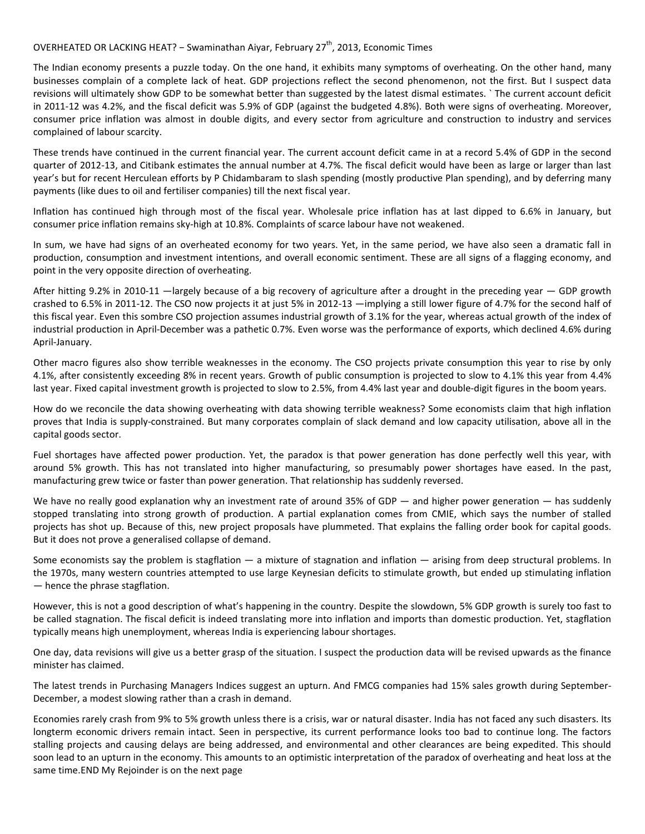## OVERHEATED OR LACKING HEAT? - Swaminathan Aiyar, February 27<sup>th</sup>, 2013, Economic Times

The Indian economy presents a puzzle today. On the one hand, it exhibits many symptoms of overheating. On the other hand, many businesses complain of a complete lack of heat. GDP projections reflect the second phenomenon, not the first. But I suspect data revisions will ultimately show GDP to be somewhat better than suggested by the latest dismal estimates. ` The current account deficit in 2011-12 was 4.2%, and the fiscal deficit was 5.9% of GDP (against the budgeted 4.8%). Both were signs of overheating. Moreover, consumer price inflation was almost in double digits, and every sector from agriculture and construction to industry and services complained of labour scarcity.

These trends have continued in the current financial year. The current account deficit came in at a record 5.4% of GDP in the second quarter of 2012-13, and Citibank estimates the annual number at 4.7%. The fiscal deficit would have been as large or larger than last year's but for recent Herculean efforts by P Chidambaram to slash spending (mostly productive Plan spending), and by deferring many payments (like dues to oil and fertiliser companies) till the next fiscal year.

Inflation has continued high through most of the fiscal year. Wholesale price inflation has at last dipped to 6.6% in January, but consumer price inflation remains sky-high at 10.8%. Complaints of scarce labour have not weakened.

In sum, we have had signs of an overheated economy for two years. Yet, in the same period, we have also seen a dramatic fall in production, consumption and investment intentions, and overall economic sentiment. These are all signs of a flagging economy, and point in the very opposite direction of overheating.

After hitting 9.2% in 2010-11 —largely because of a big recovery of agriculture after a drought in the preceding year — GDP growth crashed to 6.5% in 2011-12. The CSO now projects it at just 5% in 2012-13 —implying a still lower figure of 4.7% for the second half of this fiscal year. Even this sombre CSO projection assumes industrial growth of 3.1% for the year, whereas actual growth of the index of industrial production in April-December was a pathetic 0.7%. Even worse was the performance of exports, which declined 4.6% during April-January.

Other macro figures also show terrible weaknesses in the economy. The CSO projects private consumption this year to rise by only 4.1%, after consistently exceeding 8% in recent years. Growth of public consumption is projected to slow to 4.1% this year from 4.4% last year. Fixed capital investment growth is projected to slow to 2.5%, from 4.4% last year and double-digit figures in the boom years.

How do we reconcile the data showing overheating with data showing terrible weakness? Some economists claim that high inflation proves that India is supply-constrained. But many corporates complain of slack demand and low capacity utilisation, above all in the capital goods sector.

Fuel shortages have affected power production. Yet, the paradox is that power generation has done perfectly well this year, with around 5% growth. This has not translated into higher manufacturing, so presumably power shortages have eased. In the past, manufacturing grew twice or faster than power generation. That relationship has suddenly reversed.

We have no really good explanation why an investment rate of around 35% of GDP  $-$  and higher power generation  $-$  has suddenly stopped translating into strong growth of production. A partial explanation comes from CMIE, which says the number of stalled projects has shot up. Because of this, new project proposals have plummeted. That explains the falling order book for capital goods. But it does not prove a generalised collapse of demand.

Some economists say the problem is stagflation — a mixture of stagnation and inflation — arising from deep structural problems. In the 1970s, many western countries attempted to use large Keynesian deficits to stimulate growth, but ended up stimulating inflation — hence the phrase stagflation.

However, this is not a good description of what's happening in the country. Despite the slowdown, 5% GDP growth is surely too fast to be called stagnation. The fiscal deficit is indeed translating more into inflation and imports than domestic production. Yet, stagflation typically means high unemployment, whereas India is experiencing labour shortages.

One day, data revisions will give us a better grasp of the situation. I suspect the production data will be revised upwards as the finance minister has claimed.

The latest trends in Purchasing Managers Indices suggest an upturn. And FMCG companies had 15% sales growth during September-December, a modest slowing rather than a crash in demand.

Economies rarely crash from 9% to 5% growth unless there is a crisis, war or natural disaster. India has not faced any such disasters. Its longterm economic drivers remain intact. Seen in perspective, its current performance looks too bad to continue long. The factors stalling projects and causing delays are being addressed, and environmental and other clearances are being expedited. This should soon lead to an upturn in the economy. This amounts to an optimistic interpretation of the paradox of overheating and heat loss at the same time.END My Rejoinder is on the next page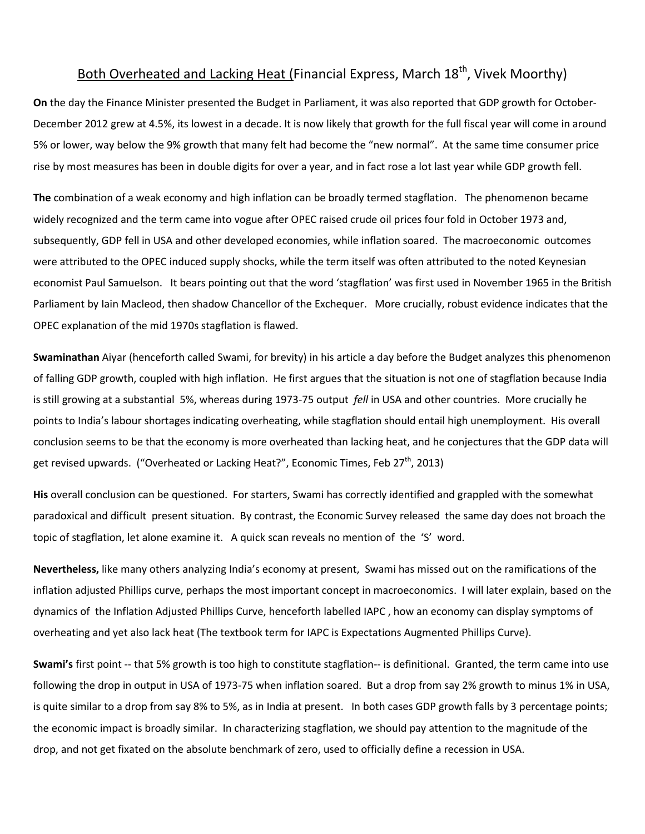## Both Overheated and Lacking Heat (Financial Express, March 18<sup>th</sup>, Vivek Moorthy)

On the day the Finance Minister presented the Budget in Parliament, it was also reported that GDP growth for October-December 2012 grew at 4.5%, its lowest in a decade. It is now likely that growth for the full fiscal year will come in around 5% or lower, way below the 9% growth that many felt had become the "new normal". At the same time consumer price rise by most measures has been in double digits for over a year, and in fact rose a lot last year while GDP growth fell.

The combination of a weak economy and high inflation can be broadly termed stagflation. The phenomenon became widely recognized and the term came into vogue after OPEC raised crude oil prices four fold in October 1973 and, subsequently, GDP fell in USA and other developed economies, while inflation soared. The macroeconomic outcomes were attributed to the OPEC induced supply shocks, while the term itself was often attributed to the noted Keynesian economist Paul Samuelson. It bears pointing out that the word 'stagflation' was first used in November 1965 in the British Parliament by Iain Macleod, then shadow Chancellor of the Exchequer. More crucially, robust evidence indicates that the OPEC explanation of the mid 1970s stagflation is flawed.

Swaminathan Aiyar (henceforth called Swami, for brevity) in his article a day before the Budget analyzes this phenomenon of falling GDP growth, coupled with high inflation. He first argues that the situation is not one of stagflation because India is still growing at a substantial 5%, whereas during 1973-75 output fell in USA and other countries. More crucially he points to India's labour shortages indicating overheating, while stagflation should entail high unemployment. His overall conclusion seems to be that the economy is more overheated than lacking heat, and he conjectures that the GDP data will get revised upwards. ("Overheated or Lacking Heat?", Economic Times, Feb  $27<sup>th</sup>$ , 2013)

His overall conclusion can be questioned. For starters, Swami has correctly identified and grappled with the somewhat paradoxical and difficult present situation. By contrast, the Economic Survey released the same day does not broach the topic of stagflation, let alone examine it. A quick scan reveals no mention of the 'S' word.

Nevertheless, like many others analyzing India's economy at present, Swami has missed out on the ramifications of the inflation adjusted Phillips curve, perhaps the most important concept in macroeconomics. I will later explain, based on the dynamics of the Inflation Adjusted Phillips Curve, henceforth labelled IAPC , how an economy can display symptoms of overheating and yet also lack heat (The textbook term for IAPC is Expectations Augmented Phillips Curve).

Swami's first point -- that 5% growth is too high to constitute stagflation-- is definitional. Granted, the term came into use following the drop in output in USA of 1973-75 when inflation soared. But a drop from say 2% growth to minus 1% in USA, is quite similar to a drop from say 8% to 5%, as in India at present. In both cases GDP growth falls by 3 percentage points; the economic impact is broadly similar. In characterizing stagflation, we should pay attention to the magnitude of the drop, and not get fixated on the absolute benchmark of zero, used to officially define a recession in USA.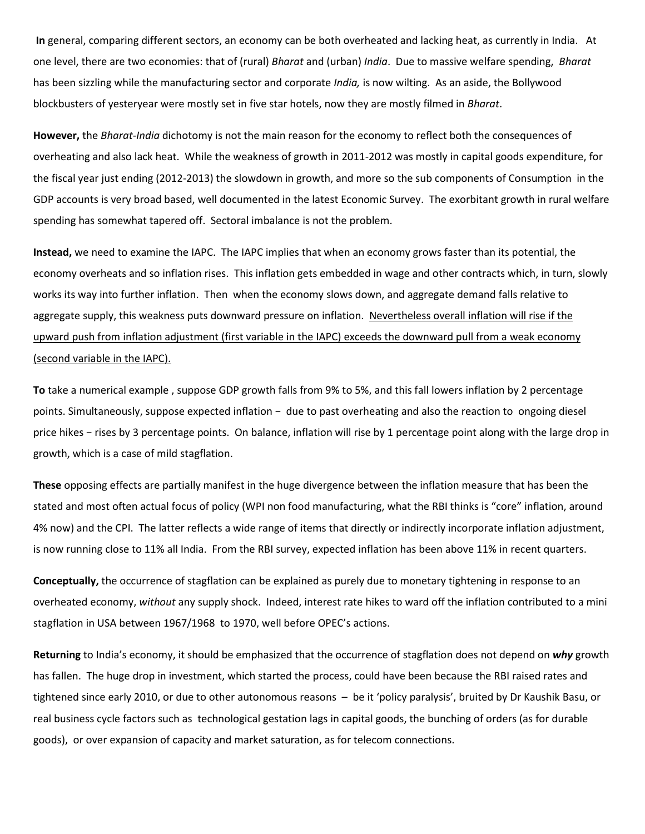In general, comparing different sectors, an economy can be both overheated and lacking heat, as currently in India. At one level, there are two economies: that of (rural) Bharat and (urban) India. Due to massive welfare spending, Bharat has been sizzling while the manufacturing sector and corporate *India*, is now wilting. As an aside, the Bollywood blockbusters of yesteryear were mostly set in five star hotels, now they are mostly filmed in Bharat.

However, the Bharat-India dichotomy is not the main reason for the economy to reflect both the consequences of overheating and also lack heat. While the weakness of growth in 2011-2012 was mostly in capital goods expenditure, for the fiscal year just ending (2012-2013) the slowdown in growth, and more so the sub components of Consumption in the GDP accounts is very broad based, well documented in the latest Economic Survey. The exorbitant growth in rural welfare spending has somewhat tapered off. Sectoral imbalance is not the problem.

Instead, we need to examine the IAPC. The IAPC implies that when an economy grows faster than its potential, the economy overheats and so inflation rises. This inflation gets embedded in wage and other contracts which, in turn, slowly works its way into further inflation. Then when the economy slows down, and aggregate demand falls relative to aggregate supply, this weakness puts downward pressure on inflation. Nevertheless overall inflation will rise if the upward push from inflation adjustment (first variable in the IAPC) exceeds the downward pull from a weak economy (second variable in the IAPC).

To take a numerical example , suppose GDP growth falls from 9% to 5%, and this fall lowers inflation by 2 percentage points. Simultaneously, suppose expected inflation − due to past overheating and also the reaction to ongoing diesel price hikes – rises by 3 percentage points. On balance, inflation will rise by 1 percentage point along with the large drop in growth, which is a case of mild stagflation.

These opposing effects are partially manifest in the huge divergence between the inflation measure that has been the stated and most often actual focus of policy (WPI non food manufacturing, what the RBI thinks is "core" inflation, around 4% now) and the CPI. The latter reflects a wide range of items that directly or indirectly incorporate inflation adjustment, is now running close to 11% all India. From the RBI survey, expected inflation has been above 11% in recent quarters.

Conceptually, the occurrence of stagflation can be explained as purely due to monetary tightening in response to an overheated economy, without any supply shock. Indeed, interest rate hikes to ward off the inflation contributed to a mini stagflation in USA between 1967/1968 to 1970, well before OPEC's actions.

Returning to India's economy, it should be emphasized that the occurrence of stagflation does not depend on why growth has fallen. The huge drop in investment, which started the process, could have been because the RBI raised rates and tightened since early 2010, or due to other autonomous reasons – be it 'policy paralysis', bruited by Dr Kaushik Basu, or real business cycle factors such as technological gestation lags in capital goods, the bunching of orders (as for durable goods), or over expansion of capacity and market saturation, as for telecom connections.